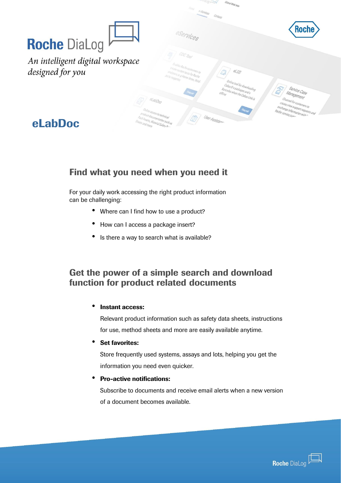|                                                         | <b>CARDO LAN</b><br>Global Web Site<br>Home e-Sentees Contacts                                                                                                        |                                                                                                                          |
|---------------------------------------------------------|-----------------------------------------------------------------------------------------------------------------------------------------------------------------------|--------------------------------------------------------------------------------------------------------------------------|
|                                                         | eservices                                                                                                                                                             | Roche                                                                                                                    |
| <b>Roche DiaLog</b><br>An intelligent digital workspace |                                                                                                                                                                       |                                                                                                                          |
| designed for you                                        | disbles Roche customers to<br>create custom lests for Roche<br>$\mathscr{A}^\circ_{\mathcal{SS}}$<br>analysers (e.g. Home brew, third.<br>Online tool for downloading |                                                                                                                          |
|                                                         | Cobas@epackages and e<br>Barcodes when the Cobas Link is<br>dabp                                                                                                      | Service Case<br>Management<br>Channel for customers to<br>Geate view support requests and<br>exchange information with 1 |
| eLabDoc                                                 | Online access to technical<br>product documentation such as<br>User Assistan<br>Pack Inserts, Material Safety A-<br>Sheets and more                                   |                                                                                                                          |

### Find what you need when you need it

For your daily work accessing the right product information can be challenging:

- Where can I find how to use a product?
- How can I access a package insert?
- Is there a way to search what is available?

### Get the power of a simple search and download function for product related documents

#### • Instant access:

Relevant product information such as safety data sheets, instructions for use, method sheets and more are easily available anytime.

• Set favorites:

information you need even quicker. Store frequently used systems, assays and lots, helping you get the

## • Pro-active notifications:

Subscribe to documents and receive email alerts when a new version of a document becomes available.

*Customizable, scalable and adaptable to your unique needs*